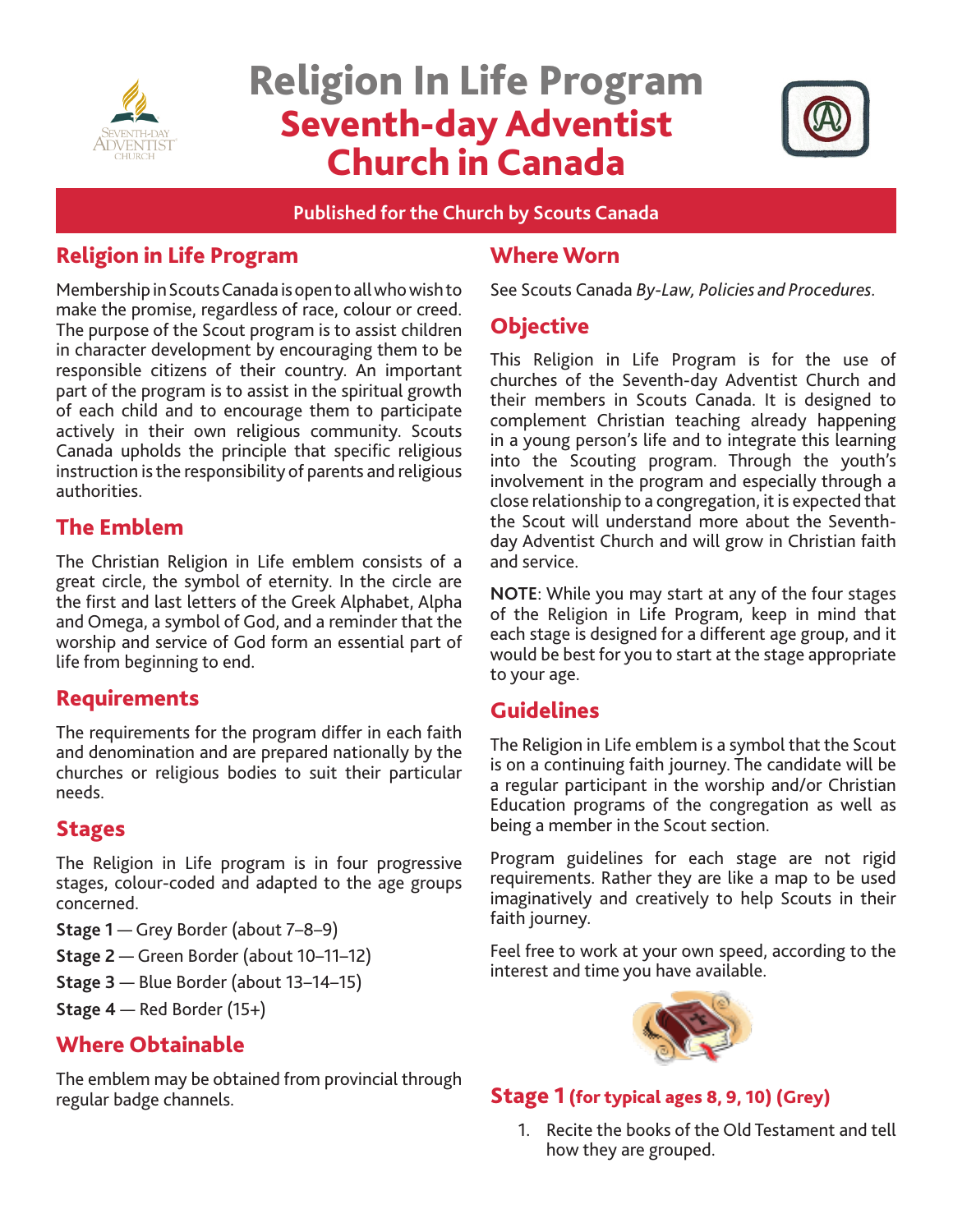

# Religion In Life Program Seventh-day Adventist Church in Canada



**Published for the Church by Scouts Canada** 

# Religion in Life Program

Membership in Scouts Canada is open to all who wish to make the promise, regardless of race, colour or creed. The purpose of the Scout program is to assist children in character development by encouraging them to be responsible citizens of their country. An important part of the program is to assist in the spiritual growth of each child and to encourage them to participate actively in their own religious community. Scouts Canada upholds the principle that specific religious instruction is the responsibility of parents and religious authorities.

# The Emblem

The Christian Religion in Life emblem consists of a great circle, the symbol of eternity. In the circle are the first and last letters of the Greek Alphabet, Alpha and Omega, a symbol of God, and a reminder that the worship and service of God form an essential part of life from beginning to end.

# Requirements

The requirements for the program differ in each faith and denomination and are prepared nationally by the churches or religious bodies to suit their particular needs.

## **Stages**

The Religion in Life program is in four progressive stages, colour-coded and adapted to the age groups concerned.

**Stage 1** — Grey Border (about 7–8–9)

- **Stage 2**  Green Border (about 10–11–12)
- **Stage 3** Blue Border (about 13–14–15)
- **Stage 4** Red Border (15+)

# Where Obtainable

The emblem may be obtained from provincial through regular badge channels.

## Where Worn

See Scouts Canada *By-Law, Policies and Procedures.* 

## **Objective**

This Religion in Life Program is for the use of churches of the Seventh-day Adventist Church and their members in Scouts Canada. It is designed to complement Christian teaching already happening in a young person's life and to integrate this learning into the Scouting program. Through the youth's involvement in the program and especially through a close relationship to a congregation, it is expected that the Scout will understand more about the Seventhday Adventist Church and will grow in Christian faith and service.

**NOTE**: While you may start at any of the four stages of the Religion in Life Program, keep in mind that each stage is designed for a different age group, and it would be best for you to start at the stage appropriate to your age.

# Guidelines

The Religion in Life emblem is a symbol that the Scout is on a continuing faith journey. The candidate will be a regular participant in the worship and/or Christian Education programs of the congregation as well as being a member in the Scout section.

Program guidelines for each stage are not rigid requirements. Rather they are like a map to be used imaginatively and creatively to help Scouts in their faith journey.

Feel free to work at your own speed, according to the interest and time you have available.



## Stage 1 (for typical ages 8, 9, 10) (Grey)

1. Recite the books of the Old Testament and tell how they are grouped.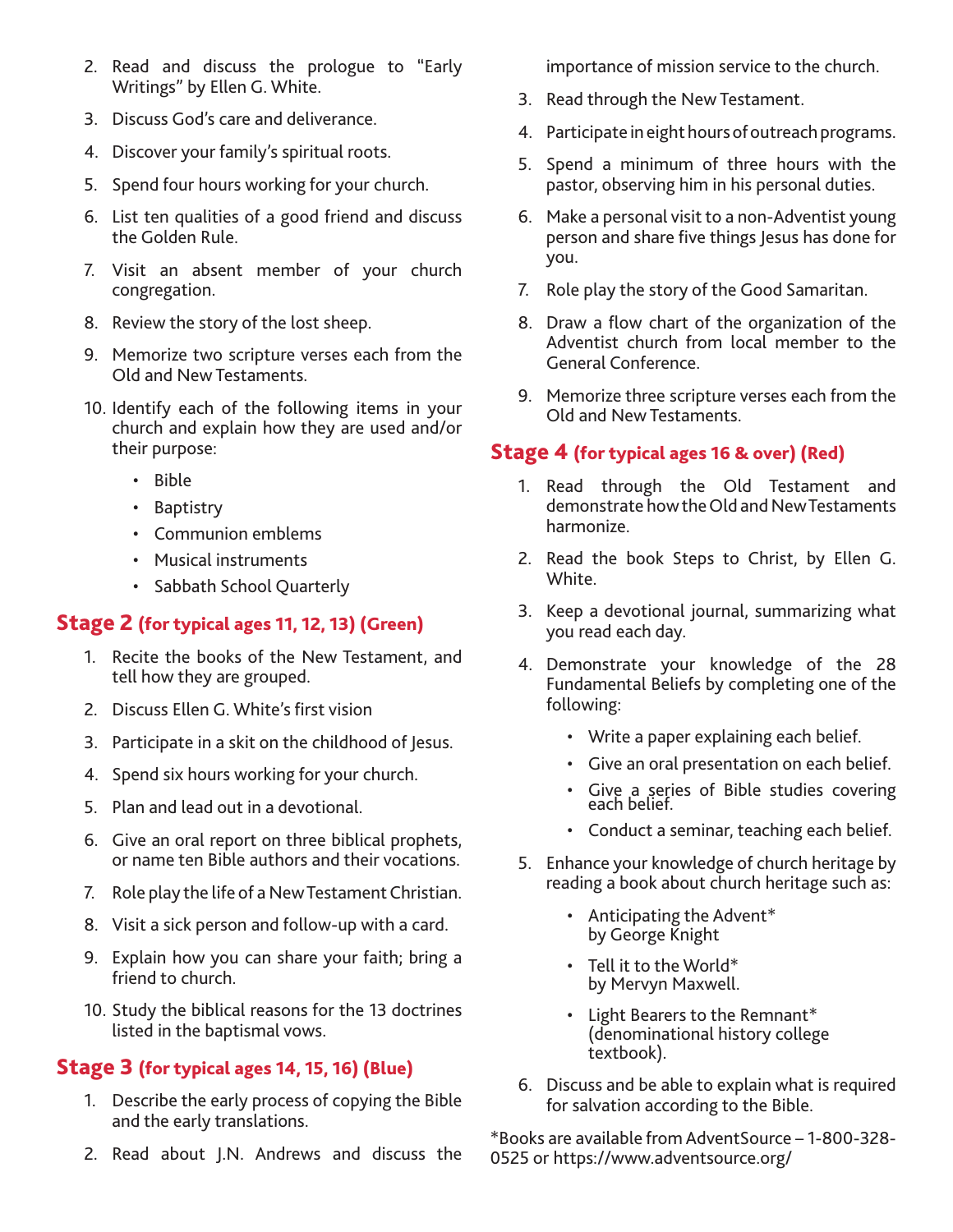- 2. Read and discuss the prologue to "Early Writings" by Ellen G. White.
- 3. Discuss God's care and deliverance.
- 4. Discover your family's spiritual roots.
- 5. Spend four hours working for your church.
- 6. List ten qualities of a good friend and discuss the Golden Rule.
- 7. Visit an absent member of your church congregation.
- 8. Review the story of the lost sheep.
- 9. Memorize two scripture verses each from the Old and New Testaments.
- 10. Identify each of the following items in your church and explain how they are used and/or their purpose:
	- Bible
	- Baptistry
	- Communion emblems
	- Musical instruments
	- Sabbath School Quarterly

#### Stage 2 (for typical ages 11, 12, 13) (Green)

- 1. Recite the books of the New Testament, and tell how they are grouped.
- 2. Discuss Ellen G. White's first vision
- 3. Participate in a skit on the childhood of Jesus.
- 4. Spend six hours working for your church.
- 5. Plan and lead out in a devotional.
- 6. Give an oral report on three biblical prophets, or name ten Bible authors and their vocations.
- 7. Role play the life of a New Testament Christian.
- 8. Visit a sick person and follow-up with a card.
- 9. Explain how you can share your faith; bring a friend to church.
- 10. Study the biblical reasons for the 13 doctrines listed in the baptismal vows.

#### Stage 3 (for typical ages 14, 15, 16) (Blue)

- 1. Describe the early process of copying the Bible and the early translations.
- 2. Read about J.N. Andrews and discuss the

importance of mission service to the church.

- 3. Read through the New Testament.
- 4. Participate in eight hours of outreach programs.
- 5. Spend a minimum of three hours with the pastor, observing him in his personal duties.
- 6. Make a personal visit to a non-Adventist young person and share five things Jesus has done for you.
- 7. Role play the story of the Good Samaritan.
- 8. Draw a flow chart of the organization of the Adventist church from local member to the General Conference.
- 9. Memorize three scripture verses each from the Old and New Testaments.

#### Stage 4 (for typical ages 16 & over) (Red)

- 1. Read through the Old Testament and demonstrate how the Old and New Testaments harmonize.
- 2. Read the book Steps to Christ, by Ellen G. White.
- 3. Keep a devotional journal, summarizing what you read each day.
- 4. Demonstrate your knowledge of the 28 Fundamental Beliefs by completing one of the following:
	- Write a paper explaining each belief.
	- Give an oral presentation on each belief.
	- Give a series of Bible studies covering each belief.
	- Conduct a seminar, teaching each belief.
- 5. Enhance your knowledge of church heritage by reading a book about church heritage such as:
	- Anticipating the Advent\* by George Knight
	- Tell it to the World\* by Mervyn Maxwell.
	- Light Bearers to the Remnant\* (denominational history college textbook).
- 6. Discuss and be able to explain what is required for salvation according to the Bible.

\*Books are available from AdventSource – 1-800-328- 0525 or https://www.adventsource.org/